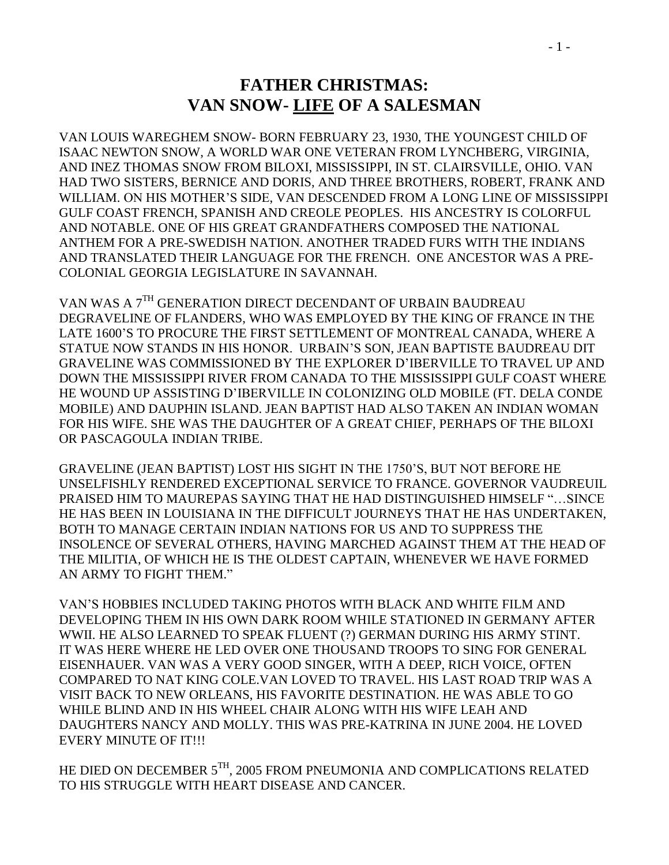## **FATHER CHRISTMAS: VAN SNOW- LIFE OF A SALESMAN**

VAN LOUIS WAREGHEM SNOW- BORN FEBRUARY 23, 1930, THE YOUNGEST CHILD OF ISAAC NEWTON SNOW, A WORLD WAR ONE VETERAN FROM LYNCHBERG, VIRGINIA, AND INEZ THOMAS SNOW FROM BILOXI, MISSISSIPPI, IN ST. CLAIRSVILLE, OHIO. VAN HAD TWO SISTERS, BERNICE AND DORIS, AND THREE BROTHERS, ROBERT, FRANK AND WILLIAM. ON HIS MOTHER'S SIDE, VAN DESCENDED FROM A LONG LINE OF MISSISSIPPI GULF COAST FRENCH, SPANISH AND CREOLE PEOPLES. HIS ANCESTRY IS COLORFUL AND NOTABLE. ONE OF HIS GREAT GRANDFATHERS COMPOSED THE NATIONAL ANTHEM FOR A PRE-SWEDISH NATION. ANOTHER TRADED FURS WITH THE INDIANS AND TRANSLATED THEIR LANGUAGE FOR THE FRENCH. ONE ANCESTOR WAS A PRE-COLONIAL GEORGIA LEGISLATURE IN SAVANNAH.

VAN WAS A 7TH GENERATION DIRECT DECENDANT OF URBAIN BAUDREAU DEGRAVELINE OF FLANDERS, WHO WAS EMPLOYED BY THE KING OF FRANCE IN THE LATE 1600'S TO PROCURE THE FIRST SETTLEMENT OF MONTREAL CANADA, WHERE A STATUE NOW STANDS IN HIS HONOR. URBAIN'S SON, JEAN BAPTISTE BAUDREAU DIT GRAVELINE WAS COMMISSIONED BY THE EXPLORER D'IBERVILLE TO TRAVEL UP AND DOWN THE MISSISSIPPI RIVER FROM CANADA TO THE MISSISSIPPI GULF COAST WHERE HE WOUND UP ASSISTING D'IBERVILLE IN COLONIZING OLD MOBILE (FT. DELA CONDE MOBILE) AND DAUPHIN ISLAND. JEAN BAPTIST HAD ALSO TAKEN AN INDIAN WOMAN FOR HIS WIFE. SHE WAS THE DAUGHTER OF A GREAT CHIEF, PERHAPS OF THE BILOXI OR PASCAGOULA INDIAN TRIBE.

GRAVELINE (JEAN BAPTIST) LOST HIS SIGHT IN THE 1750'S, BUT NOT BEFORE HE UNSELFISHLY RENDERED EXCEPTIONAL SERVICE TO FRANCE. GOVERNOR VAUDREUIL PRAISED HIM TO MAUREPAS SAYING THAT HE HAD DISTINGUISHED HIMSELF "…SINCE HE HAS BEEN IN LOUISIANA IN THE DIFFICULT JOURNEYS THAT HE HAS UNDERTAKEN, BOTH TO MANAGE CERTAIN INDIAN NATIONS FOR US AND TO SUPPRESS THE INSOLENCE OF SEVERAL OTHERS, HAVING MARCHED AGAINST THEM AT THE HEAD OF THE MILITIA, OF WHICH HE IS THE OLDEST CAPTAIN, WHENEVER WE HAVE FORMED AN ARMY TO FIGHT THEM."

VAN'S HOBBIES INCLUDED TAKING PHOTOS WITH BLACK AND WHITE FILM AND DEVELOPING THEM IN HIS OWN DARK ROOM WHILE STATIONED IN GERMANY AFTER WWII. HE ALSO LEARNED TO SPEAK FLUENT (?) GERMAN DURING HIS ARMY STINT. IT WAS HERE WHERE HE LED OVER ONE THOUSAND TROOPS TO SING FOR GENERAL EISENHAUER. VAN WAS A VERY GOOD SINGER, WITH A DEEP, RICH VOICE, OFTEN COMPARED TO NAT KING COLE.VAN LOVED TO TRAVEL. HIS LAST ROAD TRIP WAS A VISIT BACK TO NEW ORLEANS, HIS FAVORITE DESTINATION. HE WAS ABLE TO GO WHILE BLIND AND IN HIS WHEEL CHAIR ALONG WITH HIS WIFE LEAH AND DAUGHTERS NANCY AND MOLLY. THIS WAS PRE-KATRINA IN JUNE 2004. HE LOVED EVERY MINUTE OF IT!!!

HE DIED ON DECEMBER  $5^{TH}$ , 2005 FROM PNEUMONIA AND COMPLICATIONS RELATED TO HIS STRUGGLE WITH HEART DISEASE AND CANCER.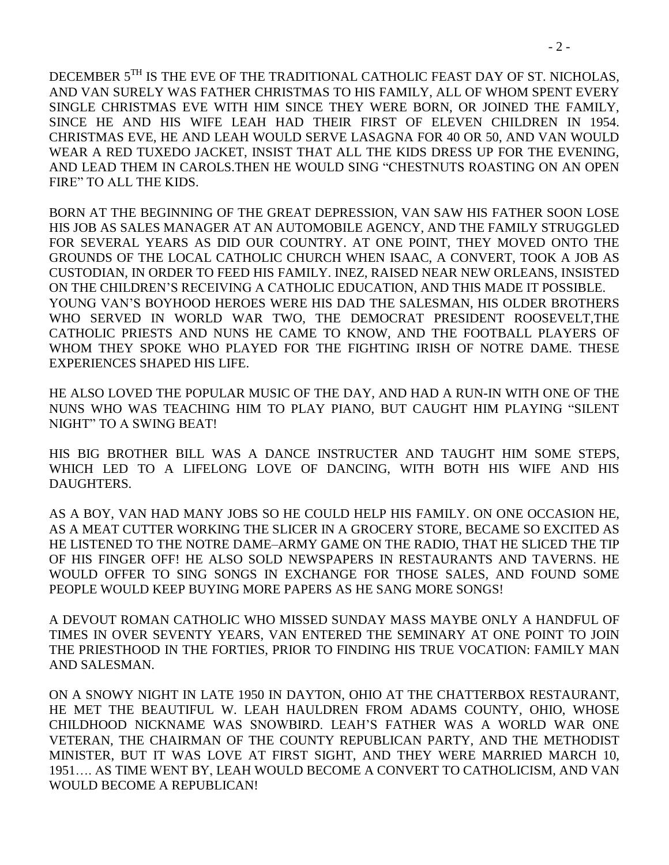DECEMBER 5<sup>TH</sup> IS THE EVE OF THE TRADITIONAL CATHOLIC FEAST DAY OF ST. NICHOLAS, AND VAN SURELY WAS FATHER CHRISTMAS TO HIS FAMILY, ALL OF WHOM SPENT EVERY SINGLE CHRISTMAS EVE WITH HIM SINCE THEY WERE BORN, OR JOINED THE FAMILY, SINCE HE AND HIS WIFE LEAH HAD THEIR FIRST OF ELEVEN CHILDREN IN 1954. CHRISTMAS EVE, HE AND LEAH WOULD SERVE LASAGNA FOR 40 OR 50, AND VAN WOULD WEAR A RED TUXEDO JACKET, INSIST THAT ALL THE KIDS DRESS UP FOR THE EVENING, AND LEAD THEM IN CAROLS.THEN HE WOULD SING "CHESTNUTS ROASTING ON AN OPEN FIRE" TO ALL THE KIDS.

BORN AT THE BEGINNING OF THE GREAT DEPRESSION, VAN SAW HIS FATHER SOON LOSE HIS JOB AS SALES MANAGER AT AN AUTOMOBILE AGENCY, AND THE FAMILY STRUGGLED FOR SEVERAL YEARS AS DID OUR COUNTRY. AT ONE POINT, THEY MOVED ONTO THE GROUNDS OF THE LOCAL CATHOLIC CHURCH WHEN ISAAC, A CONVERT, TOOK A JOB AS CUSTODIAN, IN ORDER TO FEED HIS FAMILY. INEZ, RAISED NEAR NEW ORLEANS, INSISTED ON THE CHILDREN'S RECEIVING A CATHOLIC EDUCATION, AND THIS MADE IT POSSIBLE. YOUNG VAN'S BOYHOOD HEROES WERE HIS DAD THE SALESMAN, HIS OLDER BROTHERS WHO SERVED IN WORLD WAR TWO, THE DEMOCRAT PRESIDENT ROOSEVELT,THE CATHOLIC PRIESTS AND NUNS HE CAME TO KNOW, AND THE FOOTBALL PLAYERS OF WHOM THEY SPOKE WHO PLAYED FOR THE FIGHTING IRISH OF NOTRE DAME. THESE EXPERIENCES SHAPED HIS LIFE.

HE ALSO LOVED THE POPULAR MUSIC OF THE DAY, AND HAD A RUN-IN WITH ONE OF THE NUNS WHO WAS TEACHING HIM TO PLAY PIANO, BUT CAUGHT HIM PLAYING "SILENT NIGHT" TO A SWING BEAT!

HIS BIG BROTHER BILL WAS A DANCE INSTRUCTER AND TAUGHT HIM SOME STEPS, WHICH LED TO A LIFELONG LOVE OF DANCING, WITH BOTH HIS WIFE AND HIS DAUGHTERS.

AS A BOY, VAN HAD MANY JOBS SO HE COULD HELP HIS FAMILY. ON ONE OCCASION HE, AS A MEAT CUTTER WORKING THE SLICER IN A GROCERY STORE, BECAME SO EXCITED AS HE LISTENED TO THE NOTRE DAME–ARMY GAME ON THE RADIO, THAT HE SLICED THE TIP OF HIS FINGER OFF! HE ALSO SOLD NEWSPAPERS IN RESTAURANTS AND TAVERNS. HE WOULD OFFER TO SING SONGS IN EXCHANGE FOR THOSE SALES, AND FOUND SOME PEOPLE WOULD KEEP BUYING MORE PAPERS AS HE SANG MORE SONGS!

A DEVOUT ROMAN CATHOLIC WHO MISSED SUNDAY MASS MAYBE ONLY A HANDFUL OF TIMES IN OVER SEVENTY YEARS, VAN ENTERED THE SEMINARY AT ONE POINT TO JOIN THE PRIESTHOOD IN THE FORTIES, PRIOR TO FINDING HIS TRUE VOCATION: FAMILY MAN AND SALESMAN.

ON A SNOWY NIGHT IN LATE 1950 IN DAYTON, OHIO AT THE CHATTERBOX RESTAURANT, HE MET THE BEAUTIFUL W. LEAH HAULDREN FROM ADAMS COUNTY, OHIO, WHOSE CHILDHOOD NICKNAME WAS SNOWBIRD. LEAH'S FATHER WAS A WORLD WAR ONE VETERAN, THE CHAIRMAN OF THE COUNTY REPUBLICAN PARTY, AND THE METHODIST MINISTER, BUT IT WAS LOVE AT FIRST SIGHT, AND THEY WERE MARRIED MARCH 10, 1951…. AS TIME WENT BY, LEAH WOULD BECOME A CONVERT TO CATHOLICISM, AND VAN WOULD BECOME A REPUBLICAN!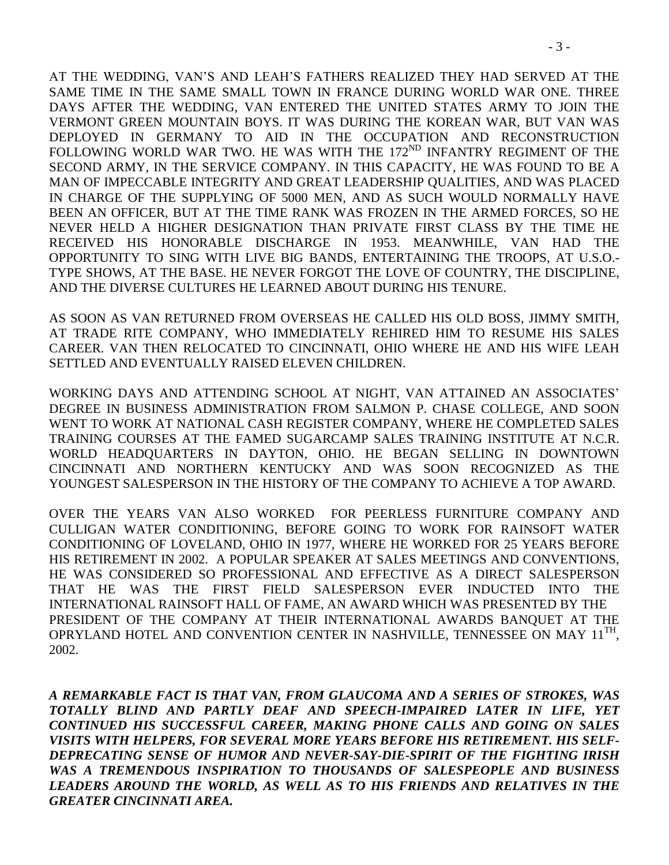AT THE WEDDING, VAN'S AND LEAH'S FATHERS REALIZED THEY HAD SERVED AT THE SAME TIME IN THE SAME SMALL TOWN IN FRANCE DURING WORLD WAR ONE. THREE DAYS AFTER THE WEDDING, VAN ENTERED THE UNITED STATES ARMY TO JOIN THE VERMONT GREEN MOUNTAIN BOYS. IT WAS DURING THE KOREAN WAR, BUT VAN WAS DEPLOYED IN GERMANY TO AID IN THE OCCUPATION AND RECONSTRUCTION FOLLOWING WORLD WAR TWO. HE WAS WITH THE 172<sup>ND</sup> INFANTRY REGIMENT OF THE SECOND ARMY, IN THE SERVICE COMPANY. IN THIS CAPACITY, HE WAS FOUND TO BE A MAN OF IMPECCABLE INTEGRITY AND GREAT LEADERSHIP QUALITIES, AND WAS PLACED IN CHARGE OF THE SUPPLYING OF 5000 MEN, AND AS SUCH WOULD NORMALLY HAVE BEEN AN OFFICER, BUT AT THE TIME RANK WAS FROZEN IN THE ARMED FORCES, SO HE NEVER HELD A HIGHER DESIGNATION THAN PRIVATE FIRST CLASS BY THE TIME HE RECEIVED HIS HONORABLE DISCHARGE IN 1953. MEANWHILE, VAN HAD THE OPPORTUNITY TO SING WITH LIVE BIG BANDS, ENTERTAINING THE TROOPS, AT U.S.O.- TYPE SHOWS, AT THE BASE. HE NEVER FORGOT THE LOVE OF COUNTRY, THE DISCIPLINE, AND THE DIVERSE CULTURES HE LEARNED ABOUT DURING HIS TENURE.

AS SOON AS VAN RETURNED FROM OVERSEAS HE CALLED HIS OLD BOSS, JIMMY SMITH, AT TRADE RITE COMPANY, WHO IMMEDIATELY REHIRED HIM TO RESUME HIS SALES CAREER. VAN THEN RELOCATED TO CINCINNATI, OHIO WHERE HE AND HIS WIFE LEAH SETTLED AND EVENTUALLY RAISED ELEVEN CHILDREN.

WORKING DAYS AND ATTENDING SCHOOL AT NIGHT, VAN ATTAINED AN ASSOCIATES' DEGREE IN BUSINESS ADMINISTRATION FROM SALMON P. CHASE COLLEGE, AND SOON WENT TO WORK AT NATIONAL CASH REGISTER COMPANY, WHERE HE COMPLETED SALES TRAINING COURSES AT THE FAMED SUGARCAMP SALES TRAINING INSTITUTE AT N.C.R. WORLD HEADQUARTERS IN DAYTON, OHIO. HE BEGAN SELLING IN DOWNTOWN CINCINNATI AND NORTHERN KENTUCKY AND WAS SOON RECOGNIZED AS THE YOUNGEST SALESPERSON IN THE HISTORY OF THE COMPANY TO ACHIEVE A TOP AWARD.

OVER THE YEARS VAN ALSO WORKED FOR PEERLESS FURNITURE COMPANY AND CULLIGAN WATER CONDITIONING, BEFORE GOING TO WORK FOR RAINSOFT WATER CONDITIONING OF LOVELAND, OHIO IN 1977, WHERE HE WORKED FOR 25 YEARS BEFORE HIS RETIREMENT IN 2002. A POPULAR SPEAKER AT SALES MEETINGS AND CONVENTIONS, HE WAS CONSIDERED SO PROFESSIONAL AND EFFECTIVE AS A DIRECT SALESPERSON THAT HE WAS THE FIRST FIELD SALESPERSON EVER INDUCTED INTO THE INTERNATIONAL RAINSOFT HALL OF FAME, AN AWARD WHICH WAS PRESENTED BY THE PRESIDENT OF THE COMPANY AT THEIR INTERNATIONAL AWARDS BANQUET AT THE OPRYLAND HOTEL AND CONVENTION CENTER IN NASHVILLE, TENNESSEE ON MAY  $11^{TH}$ , 2002.

*A REMARKABLE FACT IS THAT VAN, FROM GLAUCOMA AND A SERIES OF STROKES, WAS TOTALLY BLIND AND PARTLY DEAF AND SPEECH-IMPAIRED LATER IN LIFE, YET CONTINUED HIS SUCCESSFUL CAREER, MAKING PHONE CALLS AND GOING ON SALES VISITS WITH HELPERS, FOR SEVERAL MORE YEARS BEFORE HIS RETIREMENT. HIS SELF-DEPRECATING SENSE OF HUMOR AND NEVER-SAY-DIE-SPIRIT OF THE FIGHTING IRISH WAS A TREMENDOUS INSPIRATION TO THOUSANDS OF SALESPEOPLE AND BUSINESS LEADERS AROUND THE WORLD, AS WELL AS TO HIS FRIENDS AND RELATIVES IN THE GREATER CINCINNATI AREA.*